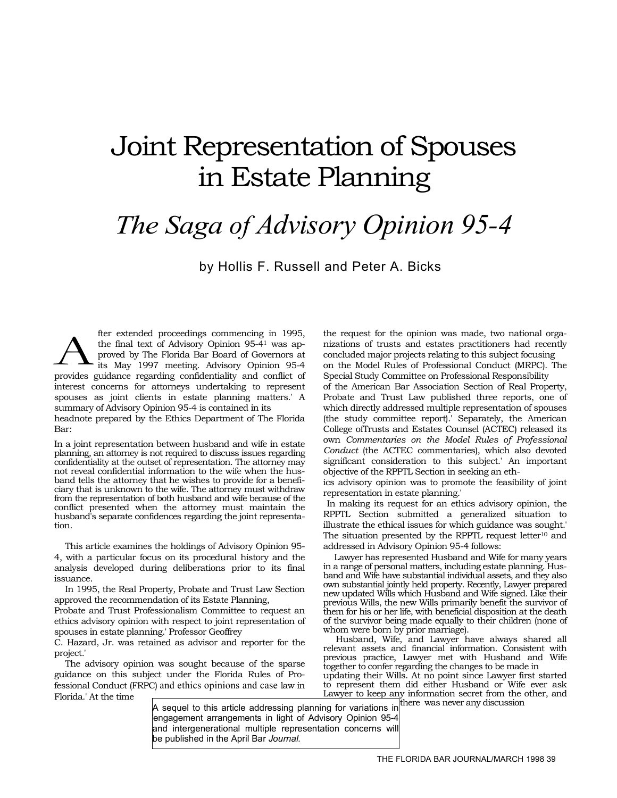# Joint Representation of Spouses in Estate Planning

# *The Saga of Advisory Opinion 95-4*

by Hollis F. Russell and Peter A. Bicks

fter extended proceedings commencing in 1995, the final text of Advisory Opinion 95-41 was approved by The Florida Bar Board of Governors at its May 1997 meeting. Advisory Opinion 95-4 fter extended proceedings commencing in 1995,<br>the final text of Advisory Opinion 95-4<sup>1</sup> was ap-<br>provides by The Florida Bar Board of Governors at<br>provides guidance regarding confidentiality and conflict of interest concerns for attorneys undertaking to represent spouses as joint clients in estate planning matters.' A summary of Advisory Opinion 95-4 is contained in its headnote prepared by the Ethics Department of The Florida Bar:

In a joint representation between husband and wife in estate planning, an attorney is not required to discuss issues regarding confidentiality at the outset of representation. The attorney may not reveal confidential information to the wife when the husband tells the attorney that he wishes to provide for a beneficiary that is unknown to the wife. The attorney must withdraw from the representation of both husband and wife because of the conflict presented when the attorney must maintain the husband's separate confidences regarding the joint representation.

This article examines the holdings of Advisory Opinion 95- 4, with a particular focus on its procedural history and the analysis developed during deliberations prior to its final issuance.

In 1995, the Real Property, Probate and Trust Law Section approved the recommendation of its Estate Planning,

Probate and Trust Professionalism Committee to request an ethics advisory opinion with respect to joint representation of spouses in estate planning.' Professor Geoffrey

C. Hazard, Jr. was retained as advisor and reporter for the project.'

The advisory opinion was sought because of the sparse guidance on this subject under the Florida Rules of Professional Conduct (FRPC) and ethics opinions and case law in Florida.' At the time

A sequel to this article addressing planning for variations in there was never any discussion engagement arrangements in light of Advisory Opinion 95-4 and intergenerational multiple representation concerns will be published in the April Bar *Journal.* 

the request for the opinion was made, two national organizations of trusts and estates practitioners had recently concluded major projects relating to this subject focusing on the Model Rules of Professional Conduct (MRPC). The Special Study Committee on Professional Responsibility of the American Bar Association Section of Real Property, Probate and Trust Law published three reports, one of which directly addressed multiple representation of spouses (the study committee report).' Separately, the American College ofTrusts and Estates Counsel (ACTEC) released its own *Commentaries on the Model Rules of Professional Conduct* (the ACTEC commentaries), which also devoted significant consideration to this subject.' An important objective of the RPPTL Section in seeking an eth-

ics advisory opinion was to promote the feasibility of joint representation in estate planning.'

In making its request for an ethics advisory opinion, the RPPTL Section submitted a generalized situation to illustrate the ethical issues for which guidance was sought.' The situation presented by the RPPTL request letter<sup>10</sup> and addressed in Advisory Opinion 95-4 follows:

 Lawyer has represented Husband and Wife for many years in a range of personal matters, including estate planning. Husband and Wife have substantial individual assets, and they also own substantial jointly held property. Recently, Lawyer prepared new updated Wills which Husband and Wife signed. Like their previous Wills, the new Wills primarily benefit the survivor of them for his or her life, with beneficial disposition at the death of the survivor being made equally to their children (none of whom were born by prior marriage).

 Husband, Wife, and Lawyer have always shared all relevant assets and financial information. Consistent with previous practice, Lawyer met with Husband and Wife together to confer regarding the changes to be made in updating their Wills. At no point since Lawyer first started to represent them did either Husband or Wife ever ask Lawyer to keep any information secret from the other, and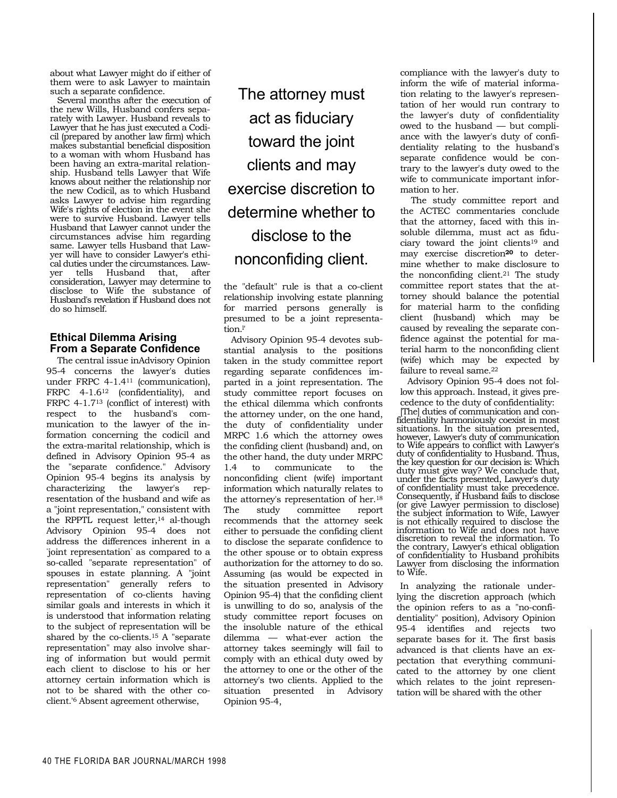about what Lawyer might do if either of them were to ask Lawyer to maintain such a separate confidence.

Several months after the execution of the new Wills, Husband confers separately with Lawyer. Husband reveals to Lawyer that he has just executed a Codicil (prepared by another law firm) which makes substantial beneficial disposition to a woman with whom Husband has been having an extra-marital relationship. Husband tells Lawyer that Wife knows about neither the relationship nor the new Codicil, as to which Husband asks Lawyer to advise him regarding Wife's rights of election in the event she were to survive Husband. Lawyer tells Husband that Lawyer cannot under the circumstances advise him regarding same. Lawyer tells Husband that Lawyer will have to consider Lawyer's ethical duties under the circumstances. Lawyer tells Husband that, after consideration, Lawyer may determine to disclose to Wife the substance of Husband's revelation if Husband does not do so himself.

# **Ethical Dilemma Arising From a Separate Confidence**

The central issue inAdvisory Opinion 95-4 concerns the lawyer's duties under FRPC 4-1.411 (communication), FRPC 4-1.6<sup>12</sup> (confidentiality), and FRPC 4-1.713 (conflict of interest) with respect to the husband's communication to the lawyer of the information concerning the codicil and the extra-marital relationship, which is defined in Advisory Opinion 95-4 as the "separate confidence." Advisory Opinion 95-4 begins its analysis by characterizing the lawyer's representation of the husband and wife as a "joint representation," consistent with the RPPTL request letter,<sup>14</sup> al-though Advisory Opinion 95-4 does not address the differences inherent in a " joint representation" as compared to a so-called "separate representation" of spouses in estate planning. A "joint representation" generally refers to representation of co-clients having similar goals and interests in which it is understood that information relating to the subject of representation will be shared by the co-clients.15 A "separate representation" may also involve sharing of information but would permit each client to disclose to his or her attorney certain information which is not to be shared with the other coclient.'6 Absent agreement otherwise,

# The attorney must act as fiduciary toward the joint clients and may exercise discretion to determine whether to disclose to the nonconfiding client.

the "default" rule is that a co-client relationship involving estate planning for married persons generally is presumed to be a joint representation.l '

Advisory Opinion 95-4 devotes substantial analysis to the positions taken in the study committee report regarding separate confidences imparted in a joint representation. The study committee report focuses on the ethical dilemma which confronts the attorney under, on the one hand, the duty of confidentiality under MRPC 1.6 which the attorney owes the confiding client (husband) and, on the other hand, the duty under MRPC 1.4 to communicate to the nonconfiding client (wife) important information which naturally relates to the attorney's representation of her.18 The study committee report recommends that the attorney seek either to persuade the confiding client to disclose the separate confidence to the other spouse or to obtain express authorization for the attorney to do so. Assuming (as would be expected in the situation presented in Advisory Opinion 95-4) that the confiding client is unwilling to do so, analysis of the study committee report focuses on the insoluble nature of the ethical dilemma — what-ever action the attorney takes seemingly will fail to comply with an ethical duty owed by the attorney to one or the other of the attorney's two clients. Applied to the situation presented in Advisory Opinion 95-4,

compliance with the lawyer's duty to inform the wife of material information relating to the lawyer's representation of her would run contrary to the lawyer's duty of confidentiality owed to the husband — but compliance with the lawyer's duty of confidentiality relating to the husband's separate confidence would be contrary to the lawyer's duty owed to the wife to communicate important information to her.

The study committee report and the ACTEC commentaries conclude that the attorney, faced with this insoluble dilemma, must act as fiduciary toward the joint clients<sup>19</sup> and may exercise discretion**20** to determine whether to make disclosure to the nonconfiding client.<sup>21</sup> The study committee report states that the attorney should balance the potential for material harm to the confiding client (husband) which may be caused by revealing the separate confidence against the potential for material harm to the nonconfiding client (wife) which may be expected by failure to reveal same.<sup>22</sup>

Advisory Opinion 95-4 does not follow this approach. Instead, it gives precedence to the duty of confidentiality: [The] duties of communication and confidentiality harmoniously coexist in most situations. In the situation presented, however, Lawyer's duty of communication to Wife appears to conflict with Lawyer's duty of confidentiality to Husband. Thus, the key question for our decision is: Which duty must give way? We conclude that, under the facts presented, Lawyer's duty of confidentiality must take precedence. Consequently, if Husband fails to disclose (or give Lawyer permission to disclose) the subject information to Wife, Lawyer is not ethically required to disclose the information to Wife and does not have discretion to reveal the information. To the contrary, Lawyer's ethical obligation of confidentiality to Husband prohibits Lawyer from disclosing the information to Wife.

In analyzing the rationale underlying the discretion approach (which the opinion refers to as a "no-confidentiality" position), Advisory Opinion 95-4 identifies and rejects two separate bases for it. The first basis advanced is that clients have an expectation that everything communicated to the attorney by one client which relates to the joint representation will be shared with the other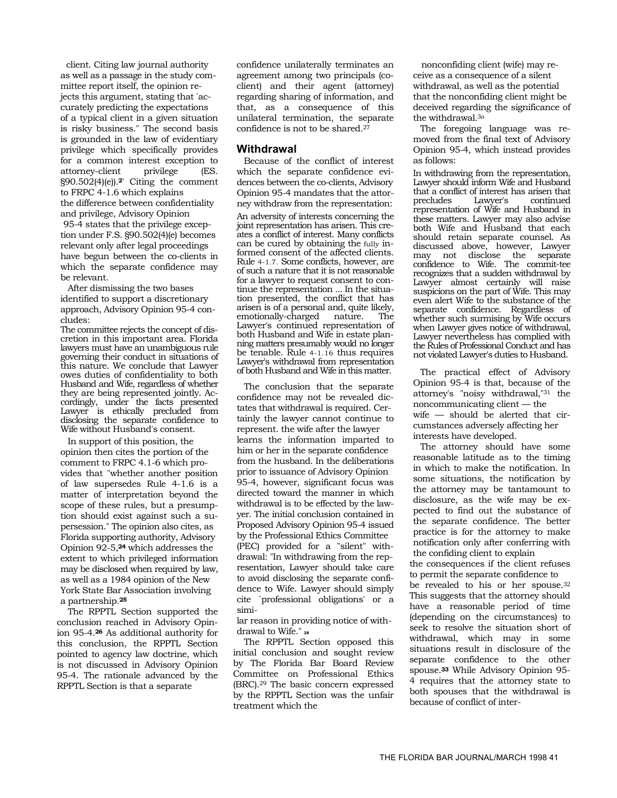client. Citing law journal authority as well as a passage in the study committee report itself, the opinion rejects this argument, stating that " accurately predicting the expectations of a typical client in a given situation is risky business." The second basis is grounded in the law of evidentiary privilege which specifically provides for a common interest exception to<br>attorney-client privilege (ES. attorney-client privilege (ES. §90.502(4)(e)).**2**' Citing the comment to FRPC 4-1.6 which explains the difference between confidentiality and privilege, Advisory Opinion

95-4 states that the privilege exception under F.S. §90.502(4)(e) becomes relevant only after legal proceedings have begun between the co-clients in which the separate confidence may be relevant.

After dismissing the two bases identified to support a discretionary approach, Advisory Opinion 95-4 concludes:

The committee rejects the concept of discretion in this important area. Florida lawyers must have an unambiguous rule governing their conduct in situations of this nature. We conclude that Lawyer owes duties of confidentiality to both Husband and Wife, regardless of whether they are being represented jointly. Accordingly, under the facts presented Lawyer is ethically precluded from disclosing the separate confidence to Wife without Husband's consent.

In support of this position, the opinion then cites the portion of the comment to FRPC 4.1-6 which provides that "whether another position of law supersedes Rule 4-1.6 is a matter of interpretation beyond the scope of these rules, but a presumption should exist against such a supersession." The opinion also cites, as Florida supporting authority, Advisory Opinion 92-5,**24** which addresses the extent to which privileged information may be disclosed when required by law, as well as a 1984 opinion of the New York State Bar Association involving a partnership.**<sup>25</sup>**

The RPPTL Section supported the conclusion reached in Advisory Opinion 95-4.**26** As additional authority for this conclusion, the RPPTL Section pointed to agency law doctrine, which is not discussed in Advisory Opinion 95-4. The rationale advanced by the RPPTL Section is that a separate

confidence unilaterally terminates an agreement among two principals (coclient) and their agent (attorney) regarding sharing of information, and that, as a consequence of this unilateral termination, the separate confidence is not to be shared.27

#### **Withdrawal**

Because of the conflict of interest which the separate confidence evidences between the co-clients, Advisory Opinion 95-4 mandates that the attorney withdraw from the representation:

An adversity of interests concerning the joint representation has arisen. This creates a conflict of interest. Many conflicts can be cured by obtaining the fully informed consent of the affected clients. Rule 4-1.7. Some conflicts, however, are of such a nature that it is not reasonable for a lawyer to request consent to continue the representation ... In the situation presented, the conflict that has arisen is of a personal and, quite likely, emotionally-charged nature. The Lawyer's continued representation of both Husband and Wife in estate planning matters presumably would no longer be tenable. Rule 4-1.16 thus requires Lawyer's withdrawal from representation of both Husband and Wife in this matter.

The conclusion that the separate confidence may not be revealed dictates that withdrawal is required. Certainly the lawyer cannot continue to represent. the wife after the lawyer learns the information imparted to him or her in the separate confidence from the husband. In the deliberations prior to issuance of Advisory Opinion 95-4, however, significant focus was directed toward the manner in which withdrawal is to be effected by the lawyer. The initial conclusion contained in Proposed Advisory Opinion 95-4 issued by the Professional Ethics Committee (PEC) provided for a "silent" withdrawal: "In withdrawing from the representation, Lawyer should take care to avoid disclosing the separate confidence to Wife. Lawyer should simply cite `professional obligations' or a simi-

lar reason in providing notice of withdrawal to Wife<sup>"</sup>

The RPPTL Section opposed this initial conclusion and sought review by The Florida Bar Board Review Committee on Professional Ethics (BRC).29 The basic concern expressed by the RPPTL Section was the unfair treatment which the

nonconfiding client (wife) may receive as a consequence of a silent withdrawal, as well as the potential that the nonconfiding client might be deceived regarding the significance of the withdrawal.3o

The foregoing language was removed from the final text of Advisory Opinion 95-4, which instead provides as follows:

In withdrawing from the representation, Lawyer should inform Wife and Husband that a conflict of interest has arisen that precludes Lawyer's continued representation of Wife and Husband in these matters. Lawyer may also advise both Wife and Husband that each should retain separate counsel. As discussed above, however, Lawyer may not disclose the separate confidence to Wife. The commit-tee recognizes that a sudden withdrawal by Lawyer almost certainly will raise suspicions on the part of Wife. This may even alert Wife to the substance of the separate confidence. Regardless of whether such surmising by Wife occurs when Lawyer gives notice of withdrawal, Lawyer nevertheless has complied with the Rules of Professional Conduct and has not violated Lawyer's duties to Husband.

The practical effect of Advisory Opinion 95-4 is that, because of the attorney's "noisy withdrawal,"31 the noncommunicating client — the wife — should be alerted that circumstances adversely affecting her interests have developed.

The attorney should have some reasonable latitude as to the timing in which to make the notification. In some situations, the notification by the attorney may be tantamount to disclosure, as the wife may be expected to find out the substance of the separate confidence. The better practice is for the attorney to make notification only after conferring with the confiding client to explain

the consequences if the client refuses to permit the separate confidence to

be revealed to his or her spouse.32 This suggests that the attorney should have a reasonable period of time (depending on the circumstances) to seek to resolve the situation short of withdrawal, which may in some situations result in disclosure of the separate confidence to the other spouse.**33** While Advisory Opinion 95- 4 requires that the attorney state to both spouses that the withdrawal is because of conflict of inter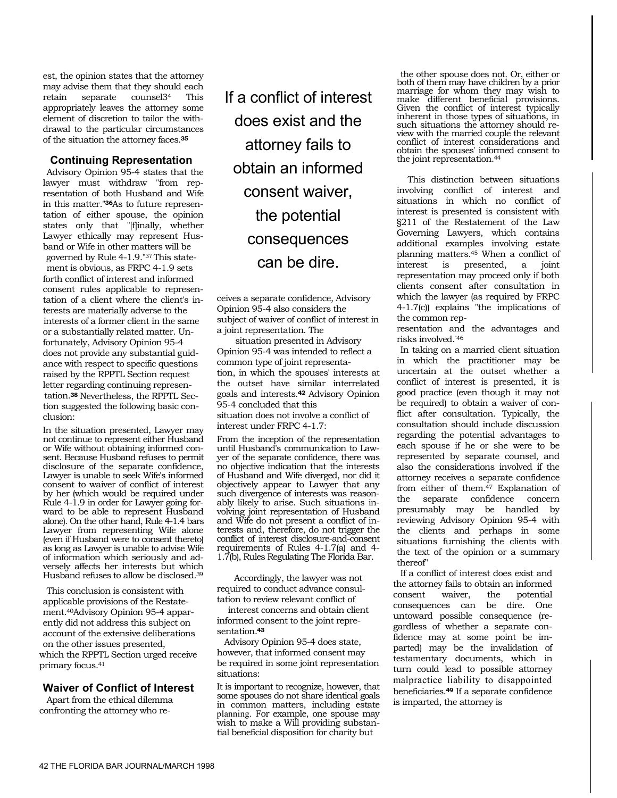est, the opinion states that the attorney may advise them that they should each retain separate counsel34 This appropriately leaves the attorney some element of discretion to tailor the withdrawal to the particular circumstances of the situation the attorney faces.**<sup>35</sup>**

### **Continuing Representation**

Advisory Opinion 95-4 states that the lawyer must withdraw "from representation of both Husband and Wife in this matter."**36**As to future representation of either spouse, the opinion states only that "[f]inally, whether Lawyer ethically may represent Husband or Wife in other matters will be governed by Rule 4-1.9."37 This statement is obvious, as FRPC 4-1.9 sets forth conflict of interest and informed consent rules applicable to representation of a client where the client's interests are materially adverse to the interests of a former client in the same or a substantially related matter. Unfortunately, Advisory Opinion 95-4 does not provide any substantial guidance with respect to specific questions raised by the RPPTL Section request letter regarding continuing representation.**38** Nevertheless, the RPPTL Section suggested the following basic conclusion:

In the situation presented, Lawyer may not continue to represent either Husband or Wife without obtaining informed consent. Because Husband refuses to permit disclosure of the separate confidence, Lawyer is unable to seek Wife's informed consent to waiver of conflict of interest by her (which would be required under Rule  $4-1.9$  in order for Lawyer going forward to be able to represent Husband alone). On the other hand, Rule 4-1.4 bars Lawyer from representing Wife alone (even if Husband were to consent thereto) as long as Lawyer is unable to advise Wife of information which seriously and adversely affects her interests but which Husband refuses to allow be disclosed.39

This conclusion is consistent with applicable provisions of the Restatement.40Advisory Opinion 95-4 apparently did not address this subject on account of the extensive deliberations on the other issues presented, which the RPPTL Section urged receive primary focus.41

# **Waiver of Conflict of Interest**

Apart from the ethical dilemma confronting the attorney who reIf a conflict of interest does exist and the attorney fails to obtain an informed consent waiver, the potential consequences can be dire.

ceives a separate confidence, Advisory Opinion 95-4 also considers the subject of waiver of conflict of interest in a joint representation. The

situation presented in Advisory Opinion 95-4 was intended to reflect a common type of joint representation, in which the spouses' interests at the outset have similar interrelated goals and interests.**42** Advisory Opinion 95-4 concluded that this situation does not involve a conflict of interest under FRPC 4-1.7:

From the inception of the representation until Husband's communication to Lawyer of the separate confidence, there was no objective indication that the interests of Husband and Wife diverged, nor did it objectively appear to Lawyer that any such divergence of interests was reasonably likely to arise. Such situations involving joint representation of Husband and Wife do not present a conflict of interests and, therefore, do not trigger the conflict of interest disclosure-and-consent requirements of Rules 4-1.7(a) and 4- 1.7(b), Rules Regulating The Florida Bar.

Accordingly, the lawyer was not required to conduct advance consultation to review relevant conflict of

interest concerns and obtain client informed consent to the joint representation.**<sup>43</sup>**

Advisory Opinion 95-4 does state, however, that informed consent may be required in some joint representation situations:

It is important to recognize, however, that some spouses do not share identical goals in common matters, including estate planning. For example, one spouse may wish to make a Will providing substantial beneficial disposition for charity but

the other spouse does not. Or, either or both of them may have children by a prior marriage for whom they may wish to make different beneficial provisions. Given the conflict of interest typically inherent in those types of situations, in such situations the attorney should review with the married couple the relevant conflict of interest considerations and obtain the spouses' informed consent to the joint representation.44

This distinction between situations involving conflict of interest and situations in which no conflict of interest is presented is consistent with §211 of the Restatement of the Law Governing Lawyers, which contains additional examples involving estate planning matters.45 When a conflict of interest is presented, a joint representation may proceed only if both clients consent after consultation in which the lawyer (as required by FRPC 4-1.7(c)) explains "the implications of the common rep-

resentation and the advantages and risks involved."46

In taking on a married client situation in which the practitioner may be uncertain at the outset whether a conflict of interest is presented, it is good practice (even though it may not be required) to obtain a waiver of conflict after consultation. Typically, the consultation should include discussion regarding the potential advantages to each spouse if he or she were to be represented by separate counsel, and also the considerations involved if the attorney receives a separate confidence from either of them.47 Explanation of the separate confidence concern presumably may be handled by reviewing Advisory Opinion 95-4 with the clients and perhaps in some situations furnishing the clients with the text of the opinion or a summary thereof"

If a conflict of interest does exist and the attorney fails to obtain an informed consent waiver, the potential consequences can be dire. One untoward possible consequence (regardless of whether a separate confidence may at some point be imparted) may be the invalidation of testamentary documents, which in turn could lead to possible attorney malpractice liability to disappointed beneficiaries.**49** If a separate confidence is imparted, the attorney is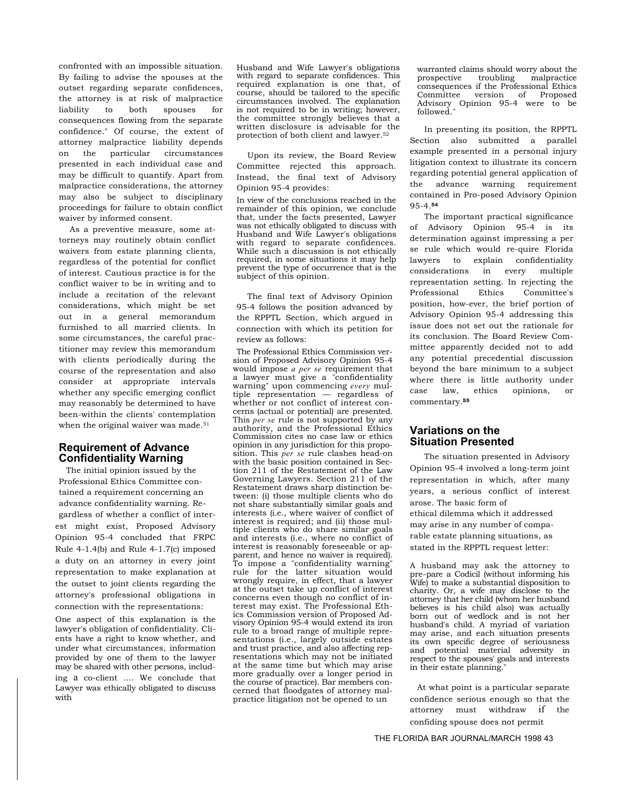confronted with an impossible situation. By failing to advise the spouses at the outset regarding separate confidences, the attorney is at risk of malpractice liability to both spouses for consequences flowing from the separate confidence." Of course, the extent of attorney malpractice liability depends on the particular circumstances presented in each individual case and may be difficult to quantify. Apart from malpractice considerations, the attorney may also be subject to disciplinary proceedings for failure to obtain conflict waiver by informed consent.

As a preventive measure, some attorneys may routinely obtain conflict waivers from estate planning clients, regardless of the potential for conflict of interest. Cautious practice is for the conflict waiver to be in writing and to include a recitation of the relevant considerations, which might be set out in a general memorandum furnished to all married clients. In some circumstances, the careful practitioner may review this memorandum with clients periodically during the course of the representation and also consider at appropriate intervals whether any specific emerging conflict may reasonably be determined to have been-within the clients' contemplation when the original waiver was made.<sup>51</sup>

## **Requirement of Advance Confidentiality Warning**

The initial opinion issued by the Professional Ethics Committee contained a requirement concerning an advance confidentiality warning. Regardless of whether a conflict of interest might exist, Proposed Advisory Opinion 95-4 concluded that FRPC Rule 4-1.4(b) and Rule 4-1.7(c) imposed a duty on an attorney in every joint representation to make explanation at the outset to joint clients regarding the attorney's professional obligations in connection with the representations:

One aspect of this explanation is the lawyer's obligation of confidentiality. Clients have a right to know whether, and under what circumstances, information provided by one of them to the lawyer may be shared with other persons, including a co-client .... We conclude that Lawyer was ethically obligated to discuss with

Husband and Wife Lawyer's obligations with regard to separate confidences. This required explanation is one that, of course, should be tailored to the specific circumstances involved. The explanation is not required to be in writing; however, the committee strongly believes that a written disclosure is advisable for the protection of both client and lawyer.52

Upon its review, the Board Review Committee rejected this approach. Instead, the final text of Advisory Opinion 95-4 provides:

In view of the conclusions reached in the remainder of this opinion, we conclude that, under the facts presented, Lawyer was not ethically obligated to discuss with Husband and Wife Lawyer's obligations with regard to separate confidences. While such a discussion is not ethically required, in some situations it may help prevent the type of occurrence that is the subject of this opinion.

The final text of Advisory Opinion 95-4 follows the position advanced by the RPPTL Section, which argued in connection with which its petition for review as follows:

The Professional Ethics Commission version of Proposed Advisory Opinion 95-4 would impose *a per se* requirement that a lawyer must give a "confidentiality warning" upon commencing *every* multiple representation — regardless of whether or not conflict of interest concerns (actual or potential) are presented. This *per se* rule is not supported by any authority, and the Professional Ethics Commission cites no case law or ethics opinion in any jurisdiction for this proposition. This *per se* rule clashes head-on with the basic position contained in Section 211 of the Restatement of the Law Governing Lawyers. Section 211 of the Restatement draws sharp distinction between: (i) those multiple clients who do not share substantially similar goals and interests (i.e., where waiver of conflict of interest is required; and (ii) those multiple clients who do share similar goals and interests (i.e., where no conflict of interest is reasonably foreseeable or apparent, and hence no waiver is required). To impose a "confidentiality warning" rule for the latter situation would wrongly require, in effect, that a lawyer at the outset take up conflict of interest concerns even though no conflict of interest may exist. The Professional Ethics Commission version of Proposed Advisory Opinion 95-4 would extend its iron rule to a broad range of multiple representations (i.e., largely outside estates and trust practice, and also affecting representations which may not be initiated at the same time but which may arise more gradually over a longer period in the course of practice). Bar members concerned that floodgates of attorney malpractice litigation not be opened to un

warranted claims should worry about the<br>prospective troubling malpractice prospective troubling malpractice consequences if the Professional Ethics Committee version of Proposed Advisory Opinion 95-4 were to be followed."

In presenting its position, the RPPTL Section also submitted a parallel example presented in a personal injury litigation context to illustrate its concern regarding potential general application of the advance warning requirement contained in Pro-posed Advisory Opinion 95-4.**<sup>54</sup>**

The important practical significance of Advisory Opinion 95-4 is its determination against impressing a per se rule which would re-quire Florida lawyers to explain confidentiality considerations in every multiple representation setting. In rejecting the Professional Ethics Committee's position, how-ever, the brief portion of Advisory Opinion 95-4 addressing this issue does not set out the rationale for its conclusion. The Board Review Committee apparently decided not to add any potential precedential discussion beyond the bare minimum to a subject where there is little authority under case law, ethics opinions, or commentary.**<sup>55</sup>**

### **Variations on the Situation Presented**

The situation presented in Advisory Opinion 95-4 involved a long-term joint representation in which, after many years, a serious conflict of interest arose. The basic form of ethical dilemma which it addressed may arise in any number of comparable estate planning situations, as stated in the RPPTL request letter:

A husband may ask the attorney to pre-pare a Codicil (without informing his Wife) to make a substantial disposition to charity. Or, a wife may disclose to the attorney that her child (whom her husband believes is his child also) was actually born out of wedlock and is not her husband's child. A myriad of variation may arise, and each situation presents its own specific degree of seriousness and potential material adversity in respect to the spouses' goals and interests in their estate planning."

At what point is a particular separate confidence serious enough so that the attorney must withdraw if the confiding spouse does not permit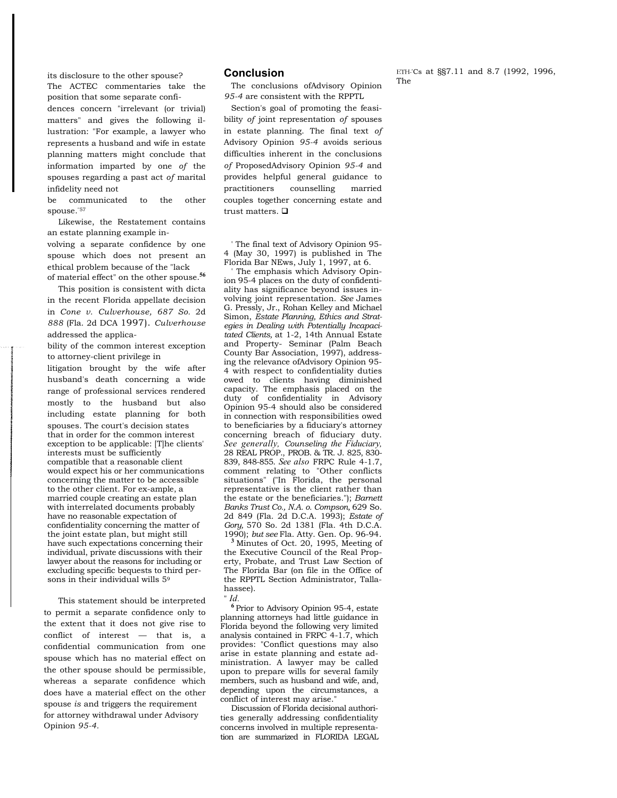its disclosure to the other spouse? The ACTEC commentaries take the position that some separate confi-

dences concern "irrelevant (or trivial) matters" and gives the following illustration: "For example, a lawyer who represents a husband and wife in estate planning matters might conclude that information imparted by one *of* the spouses regarding a past act *of* marital infidelity need not

be communicated to the other spouse."57

Likewise, the Restatement contains an estate planning example involving a separate confidence by one spouse which does not present an ethical problem because of the "lack of material effect" on the other spouse.**<sup>56</sup>**

This position is consistent with dicta in the recent Florida appellate decision in *Cone v. Culverhouse, 687 So.* 2d *888* (Fla. 2d DCA 1997). *Culverhouse*  addressed the applica-

bility of the common interest exception to attorney-client privilege in

litigation brought by the wife after husband's death concerning a wide range of professional services rendered mostly to the husband but also including estate planning for both spouses. The court's decision states that in order for the common interest exception to be applicable: [T]he clients' interests must be sufficiently compatible that a reasonable client would expect his or her communications concerning the matter to be accessible to the other client. For ex-ample, a married couple creating an estate plan with interrelated documents probably have no reasonable expectation of confidentiality concerning the matter of the joint estate plan, but might still have such expectations concerning their individual, private discussions with their lawyer about the reasons for including or excluding specific bequests to third persons in their individual wills  $5^9$ 

This statement should be interpreted to permit a separate confidence only to the extent that it does not give rise to conflict of interest — that is, a confidential communication from one spouse which has no material effect on the other spouse should be permissible, whereas a separate confidence which does have a material effect on the other spouse *is* and triggers the requirement for attorney withdrawal under Advisory Opinion *95-4.* 

#### **Conclusion**

The conclusions ofAdvisory Opinion *95-4* are consistent with the RPPTL

Section's goal of promoting the feasibility *of* joint representation *of* spouses in estate planning. The final text *of*  Advisory Opinion *95-4* avoids serious difficulties inherent in the conclusions *of* ProposedAdvisory Opinion *95-4* and provides helpful general guidance to practitioners counselling married couples together concerning estate and trust matters.  $\Box$ 

' The final text of Advisory Opinion 95- 4 (May 30, 1997) is published in The Florida Bar NEws, July 1, 1997, at 6.

The emphasis which Advisory Opinion 95-4 places on the duty of confidentiality has significance beyond issues involving joint representation. *See* James G. Pressly, Jr., Rohan Kelley and Michael Simon, *Estate Planning, Ethics and Strategies in Dealing with Potentially Incapacitated Clients,* at 1-2, 14th Annual Estate and Property- Seminar (Palm Beach County Bar Association, 1997), addressing the relevance ofAdvisory Opinion 95- 4 with respect to confidentiality duties owed to clients having diminished capacity. The emphasis placed on the duty of confidentiality in Advisory Opinion 95-4 should also be considered in connection with responsibilities owed to beneficiaries by a fiduciary's attorney concerning breach of fiduciary duty. *See generally, Counseling the Fiduciary,*  28 REAL PROP., PROB. & TR. J. 825, 830- 839, 848-855. *See also* FRPC Rule 4-1.7, comment relating to "Other conflicts situations" ("In Florida, the personal representative is the client rather than the estate or the beneficiaries."); *Barnett Banks Trust Co., N.A. o. Compson,* 629 So. 2d 849 (Fla. 2d D.C.A. 1993); *Estate of Gory,* 570 So. 2d 1381 (Fla. 4th D.C.A. 1990); *but see* Fla. Atty. Gen. Op. 96-94. **3** Minutes of Oct. 20, 1995, Meeting of

the Executive Council of the Real Property, Probate, and Trust Law Section of The Florida Bar (on file in the Office of the RPPTL Section Administrator, Tallahassee).

" *Id.* 

**<sup>6</sup>**Prior to Advisory Opinion 95-4, estate planning attorneys had little guidance in Florida beyond the following very limited analysis contained in FRPC 4-1.7, which provides: "Conflict questions may also arise in estate planning and estate administration. A lawyer may be called upon to prepare wills for several family members, such as husband and wife, and, depending upon the circumstances, a conflict of interest may arise."

Discussion of Florida decisional authorities generally addressing confidentiality concerns involved in multiple representation are summarized in FLORIDA LEGAL ETH-'Cs at §§7.11 and 8.7 (1992, 1996, The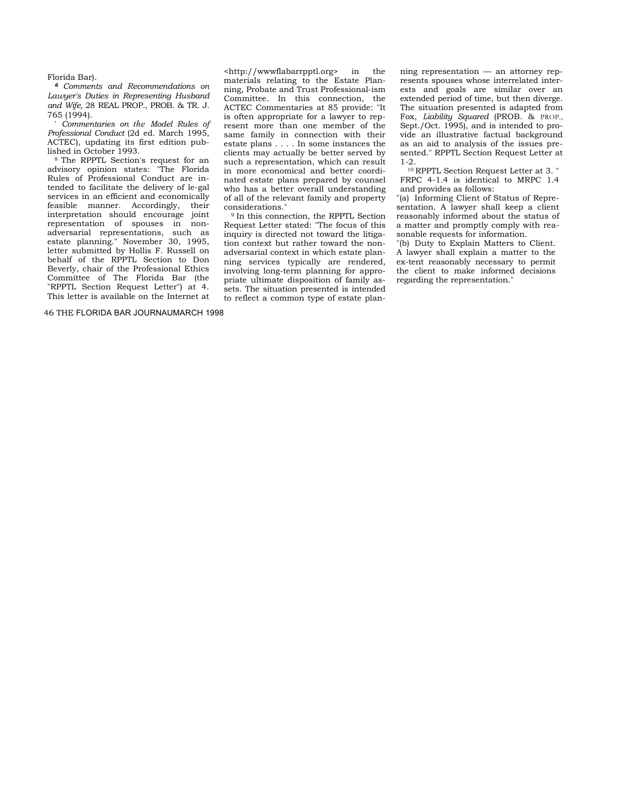#### Florida Bar).

*<sup>6</sup>Comments and Recommendations on Lawyer's Duties in Representing Husband and Wife,* 28 REAL PROP., PROB. & TR. J. 765 (1994).

' *Commentaries on the Model Rules of Professional Conduct* (2d ed. March 1995, ACTEC), updating its first edition published in October 1993.<br><sup>8</sup> The RPPTL Section's request for an

advisory opinion states: "The Florida Rules of Professional Conduct are intended to facilitate the delivery of le-gal services in an efficient and economically feasible manner. Accordingly, their interpretation should encourage joint representation of spouses in nonadversarial representations, such as estate planning." November 30, 1995, letter submitted by Hollis F. Russell on behalf of the RPPTL Section to Don Beverly, chair of the Professional Ethics Committee of The Florida Bar (the "RPPTL Section Request Letter") at 4. This letter is available on the Internet at

46 THE FLORIDA BAR JOURNAUMARCH 1998

<http://wwwflabarrpptl.org> in the materials relating to the Estate Planning, Probate and Trust Professional-ism Committee. In this connection, the ACTEC Commentaries at 85 provide: "It is often appropriate for a lawyer to represent more than one member of the same family in connection with their estate plans . . . . In some instances the clients may actually be better served by such a representation, which can result in more economical and better coordinated estate plans prepared by counsel who has a better overall understanding of all of the relevant family and property

<sup>9</sup> In this connection, the RPPTL Section Request Letter stated: "The focus of this inquiry is directed not toward the litigation context but rather toward the nonadversarial context in which estate planning services typically are rendered, involving long-term planning for appropriate ultimate disposition of family assets. The situation presented is intended to reflect a common type of estate planning representation — an attorney represents spouses whose interrelated interests and goals are similar over an extended period of time, but then diverge. The situation presented is adapted from Fox, *Liability Squared* (PROB. & PROP., Sept./Oct. 1995), and is intended to provide an illustrative factual background as an aid to analysis of the issues presented." RPPTL Section Request Letter at

1-2. 10 RPPTL Section Request Letter at 3. " FRPC 4-1.4 is identical to MRPC 1.4 and provides as follows:

"(a) Informing Client of Status of Representation. A lawyer shall keep a client reasonably informed about the status of a matter and promptly comply with reasonable requests for information.

"(b) Duty to Explain Matters to Client. A lawyer shall explain a matter to the ex-tent reasonably necessary to permit the client to make informed decisions regarding the representation."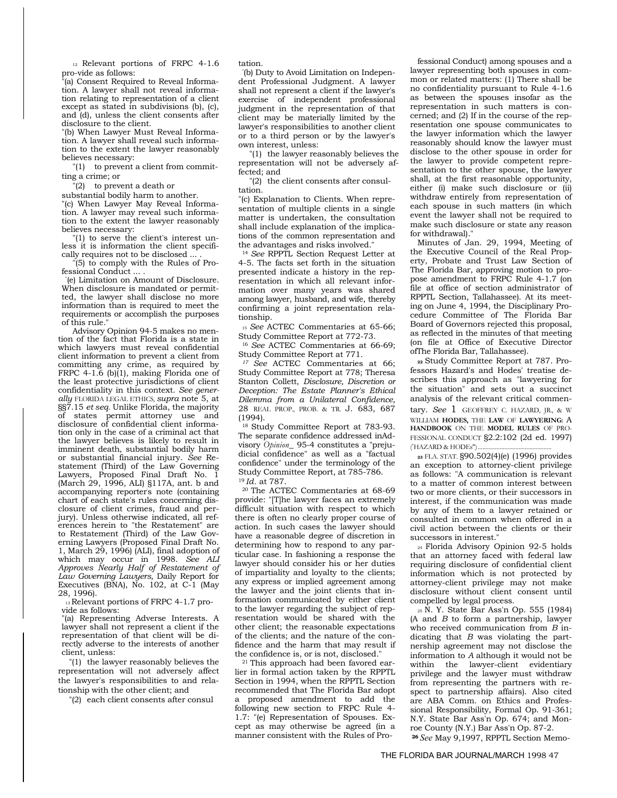12 Relevant portions of FRPC 4-1.6 pro-vide as follows:

"(a) Consent Required to Reveal Information. A lawyer shall not reveal information relating to representation of a client except as stated in subdivisions (b), (c), and (d), unless the client consents after disclosure to the client.

"(b) When Lawyer Must Reveal Information. A lawyer shall reveal such information to the extent the lawyer reasonably believes necessary:

"(1) to prevent a client from committing a crime; or

"(2) to prevent a death or

substantial bodily harm to another. "(c) When Lawyer May Reveal Information. A lawyer may reveal such information to the extent the lawyer reasonably believes necessary:

"(1) to serve the client's interest unless it is information the client specifically requires not to be disclosed ... .

"(5) to comply with the Rules of Professional Conduct ... .

" (e) Limitation on Amount of Disclosure. When disclosure is mandated or permitted, the lawyer shall disclose no more information than is required to meet the requirements or accomplish the purposes of this rule."

Advisory Opinion 94-5 makes no mention of the fact that Florida is a state in which lawyers must reveal confidential client information to prevent a client from committing any crime, as required by FRPC 4-1.6 (b)(1), making Florida one of the least protective jurisdictions of client confidentiality in this context. *See generally* FLORIDA LEGAL ETHICS, *supra* note 5, at §§7.15 *et seq.* Unlike Florida, the majority of states permit attorney use and disclosure of confidential client information only in the case of a criminal act that the lawyer believes is likely to result in imminent death, substantial bodily harm or substantial financial injury. *See* Restatement (Third) of the Law Governing Lawyers, Proposed Final Draft No. 1 (March 29, 1996, ALI) §117A, ant. b and accompanying reporter' s note (containing chart of each state's rules concerning disclosure of client crimes, fraud and perjury). Unless otherwise indicated, all references herein to "the Restatement" are to Restatement (Third) of the Law Governing Lawyers (Proposed Final Draft No. 1, March 29, 1996) (ALI), final adoption of which may occur in 1998. *See ALI Approves Nearly Half of Restatement of Law Governing Lawyers,* Daily Report for Executives (BNA), No. 102, at C-1 (May 28, 1996).

13 Relevant portions of FRPC 4-1.7 provide as follows:

"(a) Representing Adverse Interests. A lawyer shall not represent a client if the representation of that client will be directly adverse to the interests of another client, unless:

"(1) the lawyer reasonably believes the representation will not adversely affect the lawyer's responsibilities to and relationship with the other client; and

"(2) each client consents after consul

tation.

" (b) Duty to Avoid Limitation on Independent Professional Judgment. A lawyer shall not represent a client if the lawyer's exercise of independent professional judgment in the representation of that client may be materially limited by the lawyer's responsibilities to another client or to a third person or by the lawyer's own interest, unless:

"(1) the lawyer reasonably believes the representation will not be adversely affected; and

"(2) the client consents after consultation.

"(c) Explanation to Clients. When representation of multiple clients in a single matter is undertaken, the consultation shall include explanation of the implications of the common representation and the advantages and risks involved."

<sup>14</sup>*See* RPPTL Section Request Letter at 4-5. The facts set forth in the situation presented indicate a history in the representation in which all relevant information over many years was shared among lawyer, husband, and wife, thereby confirming a joint representation relationship.

<sup>15</sup>*See* ACTEC Commentaries at 65-66; Study Committee Report at 772-73.

<sup>16</sup>*See* ACTEC Commentaries at 66-69; Study Committee Report at 771.

*17 See* ACTEC Commentaries at 66; Study Committee Report at 778; Theresa Stanton Collett, *Disclosure, Discretion or Deception: The Estate Planner's Ethical Dilemma from a Unilateral Confidence,*  28 REAL PROP., PROB. & TR. J. 683, 687 (1994).

18 Study Committee Report at 783-93. The separate confidence addressed inAdvisory *Opinion\_* 95-4 constitutes a "prejudicial confidence" as well as a "factual confidence" under the terminology of the Study Committee Report, at 785-786.

<sup>19</sup> Id. at 787.<br><sup>20</sup> The ACTEC Commentaries at 68-69 provide: "[T]he lawyer faces an extremely difficult situation with respect to which there is often no clearly proper course of action. In such cases the lawyer should have a reasonable degree of discretion in determining how to respond to any particular case. In fashioning a response the lawyer should consider his or her duties of impartiality and loyalty to the clients; any express or implied agreement among the lawyer and the joint clients that information communicated by either client to the lawyer regarding the subject of representation would be shared with the other client; the reasonable expectations of the clients; and the nature of the confidence and the harm that may result if

 $21$  This approach had been favored earlier in formal action taken by the RPPTL Section in 1994, when the RPPTL Section recommended that The Florida Bar adopt a proposed amendment to add the following new section to FRPC Rule 4- 1.7: "(e) Representation of Spouses. Except as may otherwise be agreed (in a manner consistent with the Rules of Pro-

fessional Conduct) among spouses and a lawyer representing both spouses in common or related matters: (1) There shall be no confidentiality pursuant to Rule 4-1.6 as between the spouses insofar as the representation in such matters is concerned; and (2) If in the course of the representation one spouse communicates to the lawyer information which the lawyer reasonably should know the lawyer must disclose to the other spouse in order for the lawyer to provide competent representation to the other spouse, the lawyer shall, at the first reasonable opportunity, either (i) make such disclosure or (ii) withdraw entirely from representation of each spouse in such matters (in which event the lawyer shall not be required to make such disclosure or state any reason for withdrawal)."

Minutes of Jan. 29, 1994, Meeting of the Executive Council of the Real Property, Probate and Trust Law Section of The Florida Bar, approving motion to propose amendment to FRPC Rule 4-1.7 (on file at office of section administrator of RPPTL Section, Tallahassee). At its meeting on June 4, 1994, the Disciplinary Procedure Committee of The Florida Bar Board of Governors rejected this proposal, as reflected in the minutes of that meeting (on file at Office of Executive Director ofThe Florida Bar, Tallahassee).

**22** Study Committee Report at 787. Professors Hazard's and Hodes' treatise describes this approach as "lawyering for the situation" and sets out a succinct analysis of the relevant critical commentary. *See* 1 GEOFFREY C. HAZARD, JR., & W WILLIAM **HODES,** THE **LAW** OF **LAWYERING:** A **HANDBOOK** ON THE **MODEL RULES** OF PRO-FESSIONAL CONDUCT §2.2:102 (2d ed. 1997)

( " HAZARD & HODEs") ............................................... **<sup>23</sup>**FLA. STAT. §90.502(4)(e) (1996) provides an exception to attorney-client privilege as follows: "A communication is relevant to a matter of common interest between

two or more clients, or their successors in interest, if the communication was made by any of them to a lawyer retained or consulted in common when offered in a civil action between the clients or their successors in interest."

24 Florida Advisory Opinion 92-5 holds that an attorney faced with federal law requiring disclosure of confidential client information which is not protected by attorney-client privilege may not make disclosure without client consent until compelled by legal process.

25 N. Y. State Bar Ass'n Op. 555 (1984) (A and *B* to form a partnership, lawyer who received communication from *B* indicating that *B* was violating the partnership agreement may not disclose the information to *A* although it would not be within the lawyer-client evidentiary privilege and the lawyer must withdraw from representing the partners with respect to partnership affairs). Also cited are ABA Comm. on Ethics and Professional Responsibility, Formal Op. 91-361; N.Y. State Bar Ass'n Op. 674; and Monroe County (N.Y.) Bar Ass'n Op. 87-2.

**26** *See* May 9,1997, RPPTL Section Memo-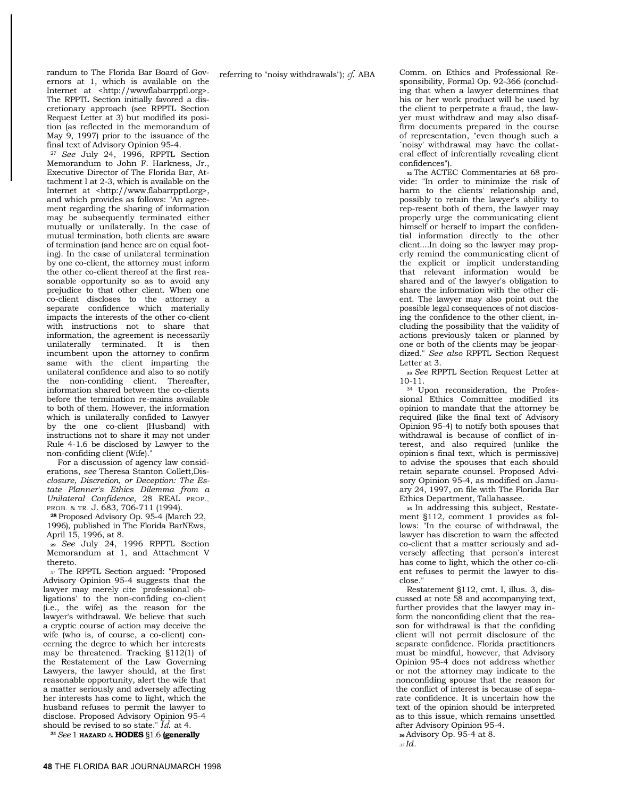randum to The Florida Bar Board of Governors at 1, which is available on the Internet at <http://wwwflabarrpptl.org>. The RPPTL Section initially favored a discretionary approach (see RPPTL Section Request Letter at 3) but modified its position (as reflected in the memorandum of May 9, 1997) prior to the issuance of the final text of Advisory Opinion 95-4.

<sup>27</sup>*See* July 24, 1996, RPPTL Section Memorandum to John F. Harkness, Jr., Executive Director of The Florida Bar, Attachment I at 2-3, which is available on the Internet at <http://www.flabarrpptLorg>, and which provides as follows: "An agreement regarding the sharing of information may be subsequently terminated either mutually or unilaterally. In the case of mutual termination, both clients are aware of termination (and hence are on equal footing). In the case of unilateral termination by one co-client, the attorney must inform the other co-client thereof at the first reasonable opportunity so as to avoid any prejudice to that other client. When one co-client discloses to the attorney a separate confidence which materially impacts the interests of the other co-client with instructions not to share that information, the agreement is necessarily unilaterally terminated. It is then incumbent upon the attorney to confirm same with the client imparting the unilateral confidence and also to so notify the non-confiding client. Thereafter, information shared between the co-clients before the termination re-mains available to both of them. However, the information which is unilaterally confided to Lawyer by the one co-client (Husband) with instructions not to share it may not under Rule 4-1.6 be disclosed by Lawyer to the non-confiding client (Wife)."

For a discussion of agency law considerations, *see* Theresa Stanton Collett,Dis*closure, Discretion, or Deception: The Estate Planner's Ethics Dilemma from a Unilateral Confidence,* 28 REAL PROP., PROB. & TR. J. 683, 706-711 (1994).

**<sup>28</sup>**Proposed Advisory Op. 95-4 (March 22, 1996), published in The Florida BarNEws, April 15, 1996, at 8.

**<sup>29</sup>***See* July 24, 1996 RPPTL Section Memorandum at 1, and Attachment V thereto.

3° The RPPTL Section argued: "Proposed Advisory Opinion 95-4 suggests that the lawyer may merely cite `professional obligations' to the non-confiding co-client (i.e., the wife) as the reason for the lawyer's withdrawal. We believe that such a cryptic course of action may deceive the wife (who is, of course, a co-client) concerning the degree to which her interests may be threatened. Tracking §112(1) of the Restatement of the Law Governing Lawyers, the lawyer should, at the first reasonable opportunity, alert the wife that a matter seriously and adversely affecting her interests has come to light, which the husband refuses to permit the lawyer to disclose. Proposed Advisory Opinion 95-4 should be revised to so state." *Id.* at 4.

**<sup>31</sup>***See* 1 **HAZARD** & **HODES** §1.6 **(generally** 

referring to "noisy withdrawals"); *cf.* ABA Comm. on Ethics and Professional Responsibility, Formal Op. 92-366 (concluding that when a lawyer determines that his or her work product will be used by the client to perpetrate a fraud, the lawyer must withdraw and may also disaffirm documents prepared in the course of representation, "even though such a `noisy' withdrawal may have the collateral effect of inferentially revealing client confidences").

**32** The ACTEC Commentaries at 68 provide: "In order to minimize the risk of harm to the clients' relationship and, possibly to retain the lawyer's ability to rep-resent both of them, the lawyer may properly urge the communicating client himself or herself to impart the confidential information directly to the other client....In doing so the lawyer may properly remind the communicating client of the explicit or implicit understanding that relevant information would be shared and of the lawyer's obligation to share the information with the other client. The lawyer may also point out the possible legal consequences of not disclosing the confidence to the other client, including the possibility that the validity of actions previously taken or planned by one or both of the clients may be jeopardized." *See also* RPPTL Section Request Letter at 3.

**<sup>33</sup>***See* RPPTL Section Request Letter at

10-11. 34 Upon reconsideration, the Professional Ethics Committee modified its opinion to mandate that the attorney be required (like the final text of Advisory Opinion 95-4) to notify both spouses that withdrawal is because of conflict of interest, and also required (unlike the opinion's final text, which is permissive) to advise the spouses that each should retain separate counsel. Proposed Advisory Opinion 95-4, as modified on January 24, 1997, on file with The Florida Bar Ethics Department, Tallahassee.

**35** In addressing this subject, Restatement §112, comment 1 provides as follows: "In the course of withdrawal, the lawyer has discretion to warn the affected co-client that a matter seriously and adversely affecting that person's interest has come to light, which the other co-client refuses to permit the lawyer to disclose."

Restatement §112, cmt. I, illus. 3, discussed at note 58 and accompanying text, further provides that the lawyer may inform the nonconfiding client that the reason for withdrawal is that the confiding client will not permit disclosure of the separate confidence. Florida practitioners must be mindful, however, that Advisory Opinion 95-4 does not address whether or not the attorney may indicate to the nonconfiding spouse that the reason for the conflict of interest is because of separate confidence. It is uncertain how the text of the opinion should be interpreted as to this issue, which remains unsettled after Advisory Opinion 95-4.

**<sup>36</sup>**Advisory Op. 95-4 at 8.

*<sup>37</sup> Id.*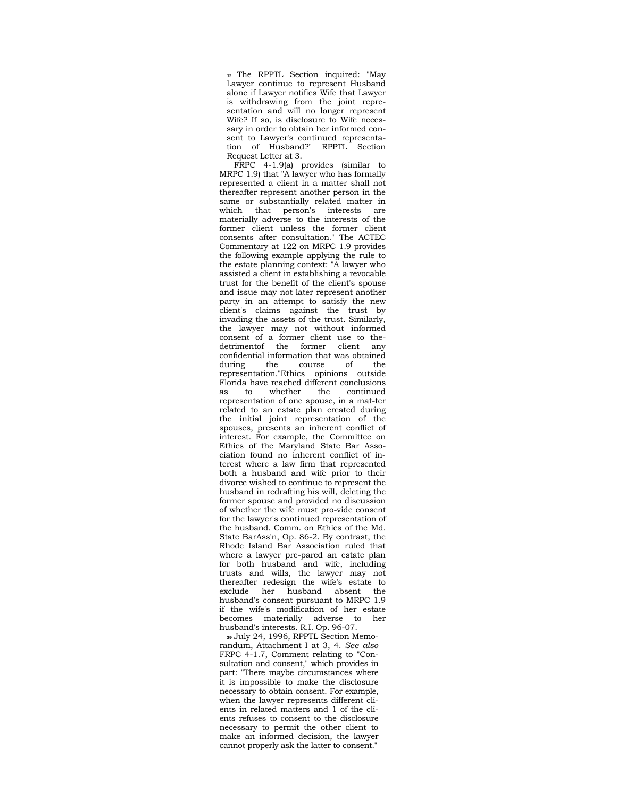33 The RPPTL Section inquired: "May Lawyer continue to represent Husband alone if Lawyer notifies Wife that Lawyer is withdrawing from the joint representation and will no longer represent Wife? If so, is disclosure to Wife necessary in order to obtain her informed consent to Lawyer's continued representation of Husband?" RPPTL Section Request Letter at 3.

FRPC 4-1.9(a) provides (similar to MRPC 1.9) that "A lawyer who has formally represented a client in a matter shall not thereafter represent another person in the same or substantially related matter in which that person's interests are materially adverse to the interests of the former client unless the former client consents after consultation." The ACTEC Commentary at 122 on MRPC 1.9 provides the following example applying the rule to the estate planning context: "A lawyer who assisted a client in establishing a revocable trust for the benefit of the client's spouse and issue may not later represent another party in an attempt to satisfy the new client's claims against the trust by invading the assets of the trust. Similarly, the lawyer may not without informed consent of a former client use to thedetrimentof the former client any confidential information that was obtained course of the representation."Ethics opinions outside Florida have reached different conclusions as to whether the continued representation of one spouse, in a mat-ter related to an estate plan created during the initial joint representation of the spouses, presents an inherent conflict of interest. For example, the Committee on Ethics of the Maryland State Bar Association found no inherent conflict of interest where a law firm that represented both a husband and wife prior to their divorce wished to continue to represent the husband in redrafting his will, deleting the former spouse and provided no discussion of whether the wife must pro-vide consent for the lawyer's continued representation of the husband. Comm. on Ethics of the Md. State BarAss'n, Op. 86-2. By contrast, the Rhode Island Bar Association ruled that where a lawyer pre-pared an estate plan for both husband and wife, including trusts and wills, the lawyer may not thereafter redesign the wife's estate to exclude her husband absent the husband's consent pursuant to MRPC 1.9 if the wife's modification of her estate becomes materially adverse to her husband's interests. R.I. Op. 96-07.

**39** July 24, 1996, RPPTL Section Memorandum, Attachment I at 3, 4. *See also*  FRPC 4-1.7, Comment relating to "Consultation and consent," which provides in part: "There maybe circumstances where it is impossible to make the disclosure necessary to obtain consent. For example, when the lawyer represents different clients in related matters and 1 of the clients refuses to consent to the disclosure necessary to permit the other client to make an informed decision, the lawyer cannot properly ask the latter to consent."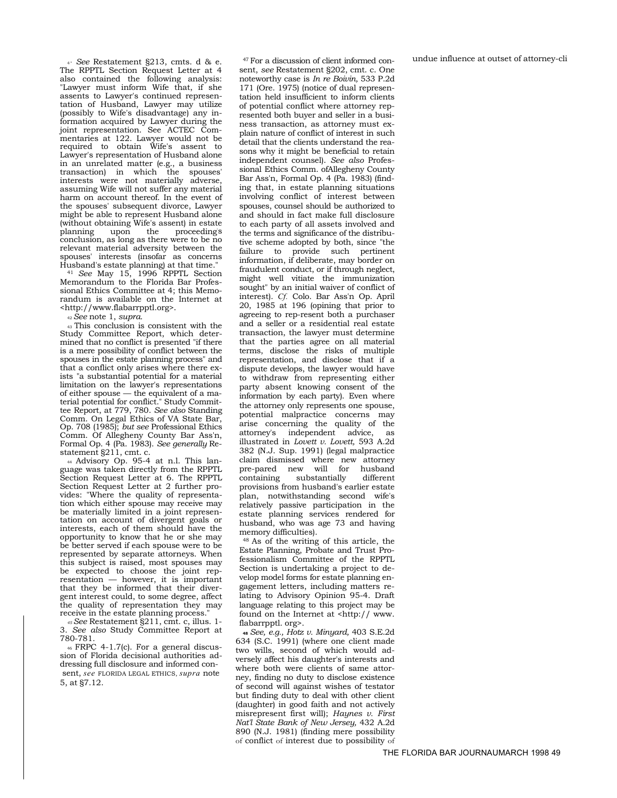4° *See* Restatement §213, cmts. d & e. The RPPTL Section Request Letter at 4 also contained the following analysis: "Lawyer must inform Wife that, if she assents to Lawyer's continued representation of Husband, Lawyer may utilize (possibly to Wife's disadvantage) any information acquired by Lawyer during the joint representation. See ACTEC Commentaries at 122. Lawyer would not be required to obtain Wife's assent to Lawyer's representation of Husband alone in an unrelated matter (e.g., a business transaction) in which the spouses' interests were not materially adverse, assuming Wife will not suffer any material harm on account thereof. In the event of the spouses' subsequent divorce, Lawyer might be able to represent Husband alone (without obtaining Wife's assent) in estate planning upon the proceeding' s conclusion, as long as there were to be no relevant material adversity between the spouses' interests (insofar as concerns Husband's estate planning) at that time." 41 *See* May 15, 1996 RPPTL Section

Memorandum to the Florida Bar Professional Ethics Committee at 4; this Memorandum is available on the Internet at <http://www.flabarrpptl.org>.

<sup>42</sup>*See* note 1, *supra.* 

43 This conclusion is consistent with the Study Committee Report, which determined that no conflict is presented "if there is a mere possibility of conflict between the spouses in the estate planning process" and that a conflict only arises where there exists "a substantial potential for a material limitation on the lawyer's representations of either spouse — the equivalent of a material potential for conflict." Study Committee Report, at 779, 780. *See also* Standing Comm. On Legal Ethics of VA State Bar, Op. 708 (1985); *but see* Professional Ethics Comm. Of Allegheny County Bar Ass'n, Formal Op. 4 (Pa. 1983). *See generally* Restatement §211, cmt. c.

44 Advisory Op. 95-4 at n.l. This language was taken directly from the RPPTL Section Request Letter at 6. The RPPTL Section Request Letter at 2 further provides: "Where the quality of representation which either spouse may receive may be materially limited in a joint representation on account of divergent goals or interests, each of them should have the opportunity to know that he or she may be better served if each spouse were to be represented by separate attorneys. When this subject is raised, most spouses may be expected to choose the joint representation — however, it is important that they be informed that their divergent interest could, to some degree, affect the quality of representation they may receive in the estate planning process."

*45 See* Restatement §211, cmt. c, illus. 1- 3. *See also* Study Committee Report at 780-781.

 $46$  FRPC 4-1.7(c). For a general discussion of Florida decisional authorities addressing full disclosure and informed consent, *see* FLORIDA LEGAL ETHICS, *supra* note 5, at §7.12.

47 For a discussion of client informed consent, *see* Restatement §202, cmt. c. One noteworthy case is *In re Boivin,* 533 P.2d 171 (Ore. 1975) (notice of dual representation held insufficient to inform clients of potential conflict where attorney represented both buyer and seller in a business transaction, as attorney must explain nature of conflict of interest in such detail that the clients understand the reasons why it might be beneficial to retain independent counsel). *See also* Professional Ethics Comm. ofAllegheny County Bar Ass'n, Formal Op. 4 (Pa. 1983) (finding that, in estate planning situations involving conflict of interest between spouses, counsel should be authorized to and should in fact make full disclosure to each party of all assets involved and the terms and significance of the distributive scheme adopted by both, since "the failure to provide such pertinent information, if deliberate, may border on fraudulent conduct, or if through neglect, might well vitiate the immunization sought" by an initial waiver of conflict of interest). *Cf.* Colo. Bar Ass'n Op. April 20, 1985 at 196 (opining that prior to agreeing to rep-resent both a purchaser and a seller or a residential real estate transaction, the lawyer must determine that the parties agree on all material terms, disclose the risks of multiple representation, and disclose that if a dispute develops, the lawyer would have to withdraw from representing either party absent knowing consent of the information by each party). Even where the attorney only represents one spouse, potential malpractice concerns may arise concerning the quality of the attorney's independent advice, as illustrated in *Lovett v. Lovett,* 593 A.2d 382 (N.J. Sup. 1991) (legal malpractice claim dismissed where new attorney pre-pared new will for husband containing substantially different provisions from husband's earlier estate plan, notwithstanding second wife's relatively passive participation in the estate planning services rendered for husband, who was age 73 and having memory difficulties).

48 As of the writing of this article, the Estate Planning, Probate and Trust Professionalism Committee of the RPPTL Section is undertaking a project to develop model forms for estate planning engagement letters, including matters relating to Advisory Opinion 95-4. Draft language relating to this project may be found on the Internet at <http:// www. flabarrpptl. org>.

**<sup>48</sup>***See, e.g., Hotz v. Minyard,* 403 S.E.2d 634 (S.C. 1991) (where one client made two wills, second of which would adversely affect his daughter's interests and where both were clients of same attorney, finding no duty to disclose existence of second will against wishes of testator but finding duty to deal with other client (daughter) in good faith and not actively misrepresent first will); *Haynes v. First Nat'l State Bank of New Jersey,* 432 A.2d 890 (N.J. 1981) (finding mere possibility of conflict of interest due to possibility of undue influence at outset of attorney-cli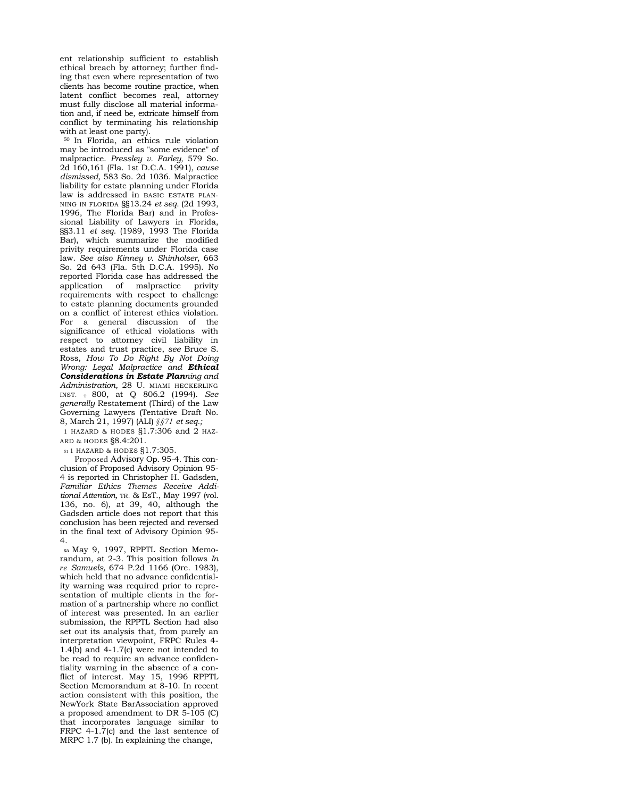ent relationship sufficient to establish ethical breach by attorney; further finding that even where representation of two clients has become routine practice, when latent conflict becomes real, attorney must fully disclose all material information and, if need be, extricate himself from conflict by terminating his relationship with at least one party).

50 In Florida, an ethics rule violation may be introduced as "some evidence" of malpractice. *Pressley v. Farley,* 579 So. 2d 160,161 (Fla. 1st D.C.A. 1991), *cause dismissed,* 583 So. 2d 1036. Malpractice liability for estate planning under Florida law is addressed in BASIC ESTATE PLAN-NING IN FLORIDA §§13.24 *et seq.* (2d 1993, 1996, The Florida Bar) and in Professional Liability of Lawyers in Florida, §§3.11 *et seq.* (1989, 1993 The Florida Bar), which summarize the modified privity requirements under Florida case law. *See also Kinney v. Shinholser,* 663 So. 2d 643 (Fla. 5th D.C.A. 1995). No reported Florida case has addressed the application of malpractice privity requirements with respect to challenge to estate planning documents grounded on a conflict of interest ethics violation. For a general discussion of the significance of ethical violations with respect to attorney civil liability in estates and trust practice, *see* Bruce S. Ross, *How To Do Right By Not Doing Wrong: Legal Malpractice and Ethical Considerations in Estate Planning and Administration,* 28 U. MIAMI HECKERLING INST. T 800, at Q 806.2 (1994). *See generally* Restatement (Third) of the Law Governing Lawyers (Tentative Draft No. 8, March 21, 1997) (ALI) *§§71 et seq.;* 

1 HAZARD & HODES §1.7:306 and 2 HAZ-ARD & HODES §8.4:201.

51 1 HAZARD & HODES §1.7:305.

Proposed Advisory Op. 95-4. This conclusion of Proposed Advisory Opinion 95- 4 is reported in Christopher H. Gadsden, *Familiar Ethics Themes Receive Additional Attention,* TR. & EsT., May 1997 (vol. 136, no. 6), at 39, 40, although the Gadsden article does not report that this conclusion has been rejected and reversed in the final text of Advisory Opinion 95- 4.

**53** May 9, 1997, RPPTL Section Memorandum, at 2-3. This position follows *In re Samuels,* 674 P.2d 1166 (Ore. 1983), which held that no advance confidentiality warning was required prior to representation of multiple clients in the formation of a partnership where no conflict of interest was presented. In an earlier submission, the RPPTL Section had also set out its analysis that, from purely an interpretation viewpoint, FRPC Rules 4- 1.4(b) and 4-1.7(c) were not intended to be read to require an advance confidentiality warning in the absence of a conflict of interest. May 15, 1996 RPPTL Section Memorandum at 8-10. In recent action consistent with this position, the NewYork State BarAssociation approved a proposed amendment to DR 5-105 (C) that incorporates language similar to FRPC 4-1.7(c) and the last sentence of MRPC 1.7 (b). In explaining the change,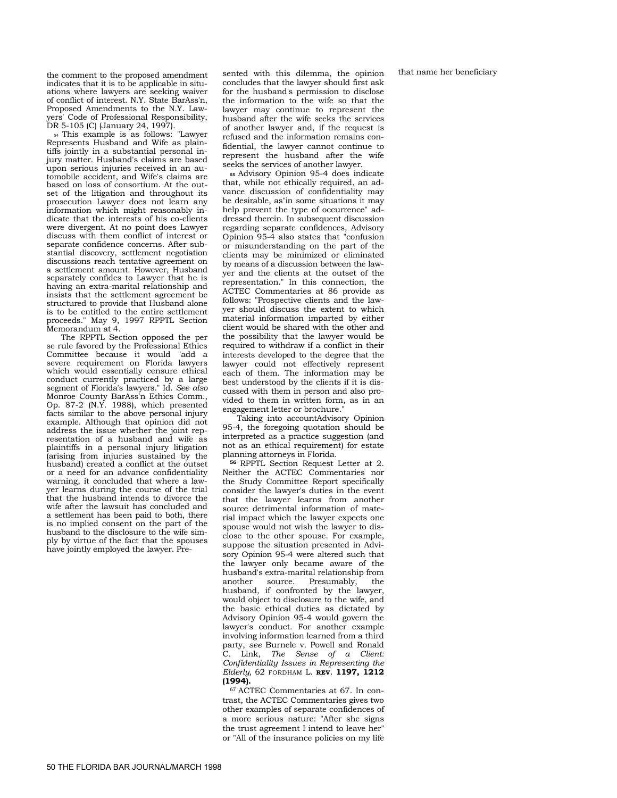that name her beneficiary

the comment to the proposed amendment indicates that it is to be applicable in situations where lawyers are seeking waiver of conflict of interest. N.Y. State BarAss'n, Proposed Amendments to the N.Y. Lawyers' Code of Professional Responsibility, DR 5-105 (C) (January 24, 1997).

54 This example is as follows: "Lawyer Represents Husband and Wife as plaintiffs jointly in a substantial personal injury matter. Husband's claims are based upon serious injuries received in an automobile accident, and Wife's claims are based on loss of consortium. At the outset of the litigation and throughout its prosecution Lawyer does not learn any information which might reasonably indicate that the interests of his co-clients were divergent. At no point does Lawyer discuss with them conflict of interest or separate confidence concerns. After substantial discovery, settlement negotiation discussions reach tentative agreement on a settlement amount. However, Husband separately confides to Lawyer that he is having an extra-marital relationship and insists that the settlement agreement be structured to provide that Husband alone is to be entitled to the entire settlement proceeds." May 9, 1997 RPPTL Section Memorandum at 4.

The RPPTL Section opposed the per se rule favored by the Professional Ethics Committee because it would "add a severe requirement on Florida lawyers which would essentially censure ethical conduct currently practiced by a large segment of Florida's lawyers." Id. *See also*  Monroe County BarAss'n Ethics Comm., Op. 87-2 (N.Y. 1988), which presented facts similar to the above personal injury example. Although that opinion did not address the issue whether the joint representation of a husband and wife as plaintiffs in a personal injury litigation (arising from injuries sustained by the husband) created a conflict at the outset or a need for an advance confidentiality warning, it concluded that where a lawyer learns during the course of the trial that the husband intends to divorce the wife after the lawsuit has concluded and a settlement has been paid to both, there is no implied consent on the part of the husband to the disclosure to the wife simply by virtue of the fact that the spouses have jointly employed the lawyer. Presented with this dilemma, the opinion concludes that the lawyer should first ask for the husband's permission to disclose the information to the wife so that the lawyer may continue to represent the husband after the wife seeks the services of another lawyer and, if the request is refused and the information remains confidential, the lawyer cannot continue to represent the husband after the wife seeks the services of another lawyer.

**<sup>55</sup>**Advisory Opinion 95-4 does indicate that, while not ethically required, an advance discussion of confidentiality may be desirable, as"in some situations it may help prevent the type of occurrence" addressed therein. In subsequent discussion regarding separate confidences, Advisory Opinion 95-4 also states that "confusion or misunderstanding on the part of the clients may be minimized or eliminated by means of a discussion between the lawyer and the clients at the outset of the representation." In this connection, the ACTEC Commentaries at 86 provide as follows: "Prospective clients and the lawyer should discuss the extent to which material information imparted by either client would be shared with the other and the possibility that the lawyer would be required to withdraw if a conflict in their interests developed to the degree that the lawyer could not effectively represent each of them. The information may be best understood by the clients if it is discussed with them in person and also provided to them in written form, as in an engagement letter or brochure."

Taking into accountAdvisory Opinion 95-4, the foregoing quotation should be interpreted as a practice suggestion (and not as an ethical requirement) for estate planning attorneys in Florida.

**<sup>56</sup>**RPPTL Section Request Letter at 2. Neither the ACTEC Commentaries nor the Study Committee Report specifically consider the lawyer's duties in the event that the lawyer learns from another source detrimental information of material impact which the lawyer expects one spouse would not wish the lawyer to disclose to the other spouse. For example, suppose the situation presented in Advisory Opinion 95-4 were altered such that the lawyer only became aware of the husband's extra-marital relationship from another source. Presumably, the husband, if confronted by the lawyer, would object to disclosure to the wife, and the basic ethical duties as dictated by Advisory Opinion 95-4 would govern the lawyer's conduct. For another example involving information learned from a third party, *see* Burnele v. Powell and Ronald C. Link, *The Sense of a Client: Confidentiality Issues in Representing the Elderly,* 62 FORDHAM L. **REV. 1197, 1212 (1994).** 

67 ACTEC Commentaries at 67. In contrast, the ACTEC Commentaries gives two other examples of separate confidences of a more serious nature: "After she signs the trust agreement I intend to leave her" or "All of the insurance policies on my life